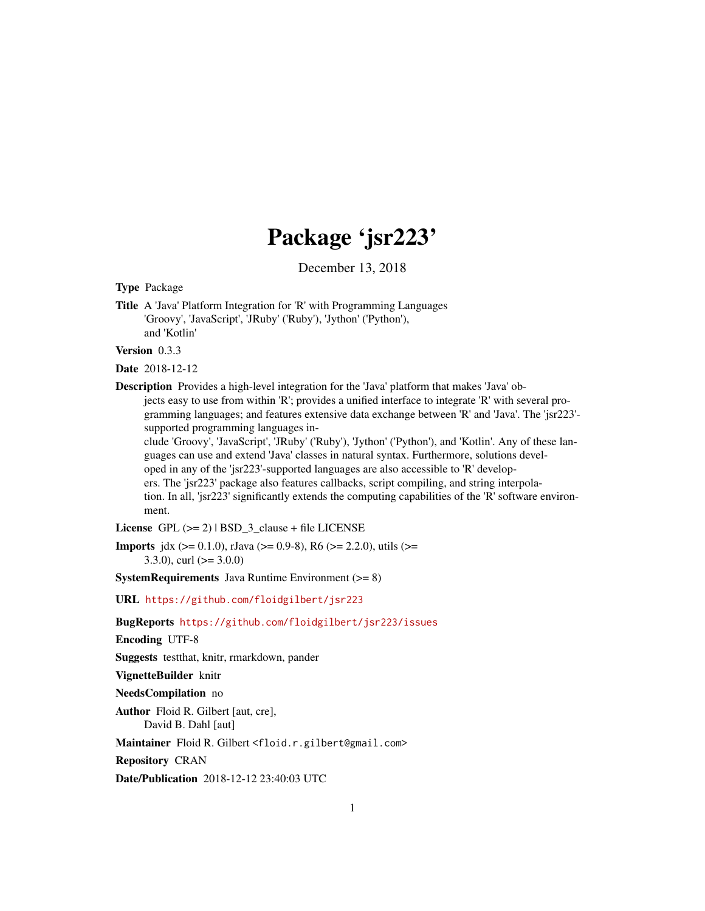## Package 'jsr223'

December 13, 2018

<span id="page-0-0"></span>Type Package

Title A 'Java' Platform Integration for 'R' with Programming Languages 'Groovy', 'JavaScript', 'JRuby' ('Ruby'), 'Jython' ('Python'), and 'Kotlin'

Version 0.3.3

Date 2018-12-12

Description Provides a high-level integration for the 'Java' platform that makes 'Java' objects easy to use from within 'R'; provides a unified interface to integrate 'R' with several programming languages; and features extensive data exchange between 'R' and 'Java'. The 'jsr223' supported programming languages in-

clude 'Groovy', 'JavaScript', 'JRuby' ('Ruby'), 'Jython' ('Python'), and 'Kotlin'. Any of these languages can use and extend 'Java' classes in natural syntax. Furthermore, solutions developed in any of the 'jsr223'-supported languages are also accessible to 'R' developers. The 'jsr223' package also features callbacks, script compiling, and string interpolation. In all, 'jsr223' significantly extends the computing capabilities of the 'R' software environment.

License GPL  $(>= 2)$  | BSD\_3\_clause + file LICENSE

**Imports** jdx ( $>= 0.1.0$ ), rJava ( $>= 0.9-8$ ), R6 ( $>= 2.2.0$ ), utils ( $>=$  $3.3.0$ , curl ( $>= 3.0.0$ )

**SystemRequirements** Java Runtime Environment  $(>= 8)$ 

URL <https://github.com/floidgilbert/jsr223>

BugReports <https://github.com/floidgilbert/jsr223/issues>

Encoding UTF-8

Suggests testthat, knitr, rmarkdown, pander

VignetteBuilder knitr

NeedsCompilation no

Author Floid R. Gilbert [aut, cre],

David B. Dahl [aut]

Maintainer Floid R. Gilbert <floid.r.gilbert@gmail.com>

Repository CRAN

Date/Publication 2018-12-12 23:40:03 UTC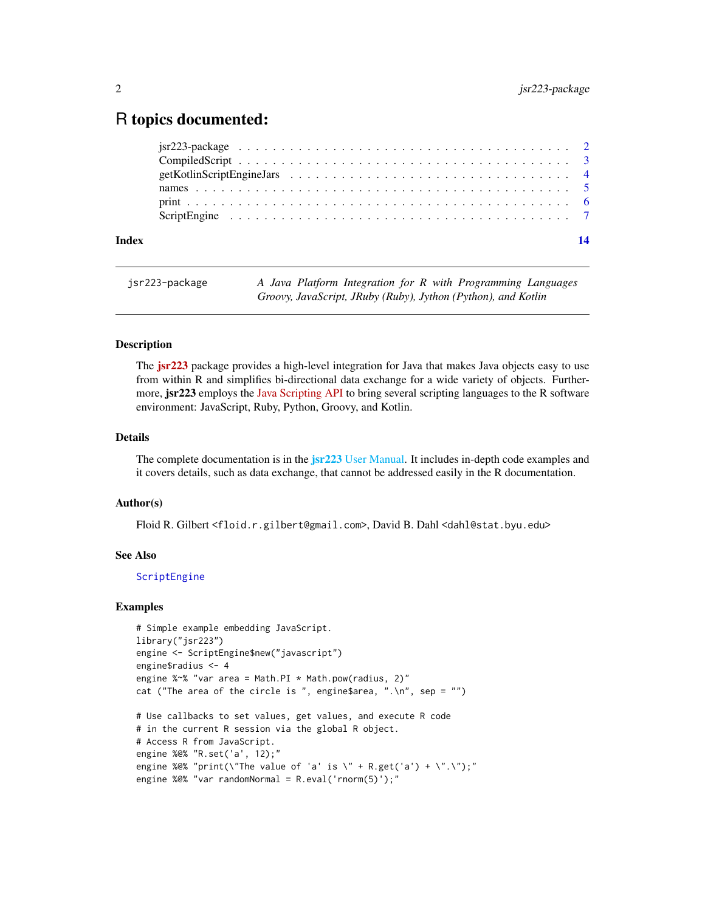### <span id="page-1-0"></span>R topics documented:

| Index |  |  |  |  |  |  |  |  |  |  |  |  |  |  |  |  |
|-------|--|--|--|--|--|--|--|--|--|--|--|--|--|--|--|--|
|       |  |  |  |  |  |  |  |  |  |  |  |  |  |  |  |  |
|       |  |  |  |  |  |  |  |  |  |  |  |  |  |  |  |  |
|       |  |  |  |  |  |  |  |  |  |  |  |  |  |  |  |  |
|       |  |  |  |  |  |  |  |  |  |  |  |  |  |  |  |  |
|       |  |  |  |  |  |  |  |  |  |  |  |  |  |  |  |  |
|       |  |  |  |  |  |  |  |  |  |  |  |  |  |  |  |  |

```
jsr223-package A Java Platform Integration for R with Programming Languages
                        Groovy, JavaScript, JRuby (Ruby), Jython (Python), and Kotlin
```
#### Description

The **[jsr223](https://CRAN.R-project.org/package=jsr223)** package provides a high-level integration for Java that makes Java objects easy to use from within R and simplifies bi-directional data exchange for a wide variety of objects. Furthermore, **jsr223** employs the [Java Scripting API](http://docs.oracle.com/javase/8/docs/technotes/guides/scripting/) to bring several scripting languages to the R software environment: JavaScript, Ruby, Python, Groovy, and Kotlin.

#### Details

The complete documentation is in the **jsr223** [User Manual.](#page-0-0) It includes in-depth code examples and it covers details, such as data exchange, that cannot be addressed easily in the R documentation.

#### Author(s)

Floid R. Gilbert <floid.r.gilbert@gmail.com>, David B. Dahl <dahl@stat.byu.edu>

#### See Also

[ScriptEngine](#page-6-1)

#### Examples

```
# Simple example embedding JavaScript.
library("jsr223")
engine <- ScriptEngine$new("javascript")
engine$radius <- 4
engine %~% "var area = Math.PI * Math.pow(radius, 2)"
cat ("The area of the circle is ", engine$area, ".\n", sep = "")
# Use callbacks to set values, get values, and execute R code
# in the current R session via the global R object.
# Access R from JavaScript.
engine %@% "R.set('a', 12);"
engine %@% "print(\"The value of 'a' is \" + R.get('a') + \".\");"
engine %@% "var randomNormal = R.eval('rnorm(5)');"
```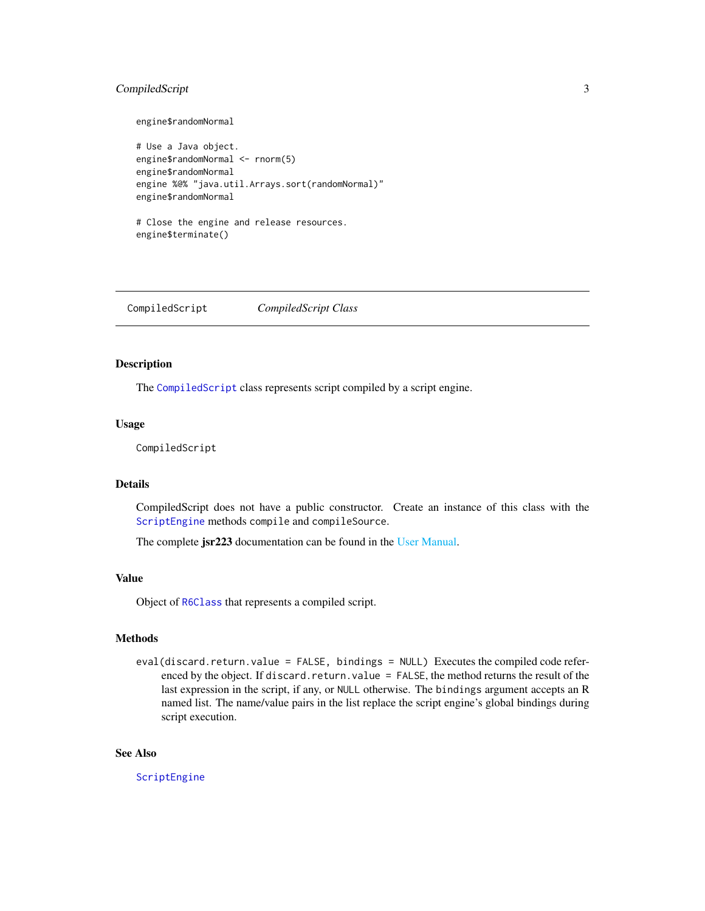#### <span id="page-2-0"></span>CompiledScript 3

```
engine$randomNormal
# Use a Java object.
engine$randomNormal <- rnorm(5)
engine$randomNormal
engine %@% "java.util.Arrays.sort(randomNormal)"
engine$randomNormal
```

```
# Close the engine and release resources.
engine$terminate()
```
<span id="page-2-1"></span>CompiledScript *CompiledScript Class*

#### Description

The [CompiledScript](#page-2-1) class represents script compiled by a script engine.

#### Usage

CompiledScript

#### **Details**

CompiledScript does not have a public constructor. Create an instance of this class with the [ScriptEngine](#page-6-1) methods compile and compileSource.

The complete jsr223 documentation can be found in the [User Manual.](#page-0-0)

#### Value

Object of [R6Class](#page-0-0) that represents a compiled script.

#### **Methods**

eval(discard.return.value = FALSE, bindings = NULL) Executes the compiled code referenced by the object. If discard.return.value = FALSE, the method returns the result of the last expression in the script, if any, or NULL otherwise. The bindings argument accepts an R named list. The name/value pairs in the list replace the script engine's global bindings during script execution.

#### See Also

[ScriptEngine](#page-6-1)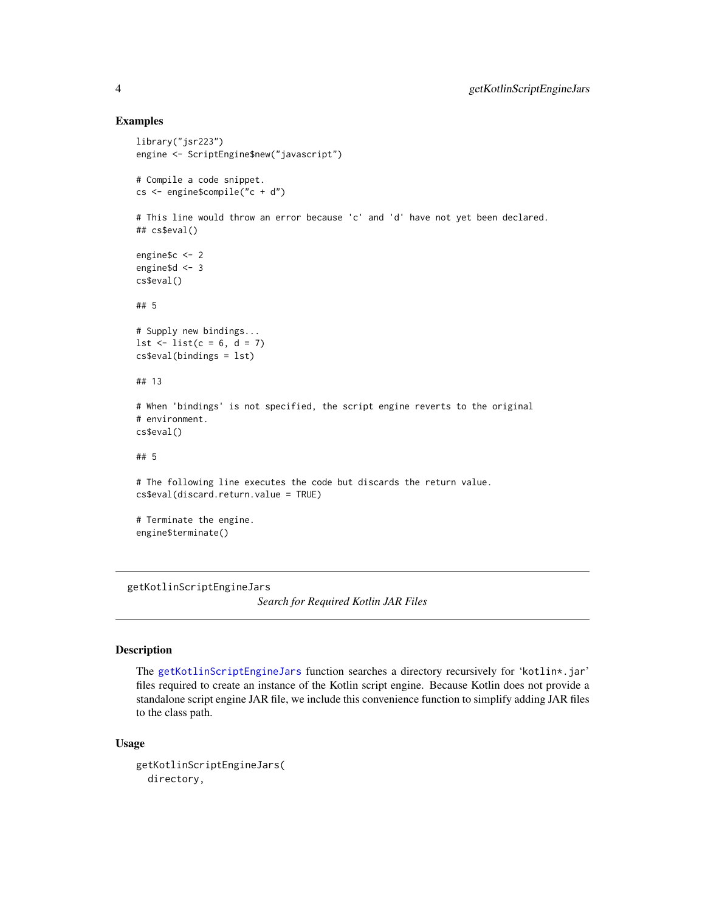#### Examples

```
library("jsr223")
engine <- ScriptEngine$new("javascript")
# Compile a code snippet.
cs <- engine$compile("c + d")
# This line would throw an error because 'c' and 'd' have not yet been declared.
## cs$eval()
engine$c <- 2
engine$d <- 3
cs$eval()
## 5
# Supply new bindings...
1st \leftarrow list(c = 6, d = 7)cs$eval(bindings = lst)
## 13
# When 'bindings' is not specified, the script engine reverts to the original
# environment.
cs$eval()
## 5
# The following line executes the code but discards the return value.
cs$eval(discard.return.value = TRUE)
# Terminate the engine.
engine$terminate()
```
<span id="page-3-1"></span>getKotlinScriptEngineJars

*Search for Required Kotlin JAR Files*

#### Description

The [getKotlinScriptEngineJars](#page-3-1) function searches a directory recursively for 'kotlin\*.jar' files required to create an instance of the Kotlin script engine. Because Kotlin does not provide a standalone script engine JAR file, we include this convenience function to simplify adding JAR files to the class path.

#### Usage

```
getKotlinScriptEngineJars(
  directory,
```
<span id="page-3-0"></span>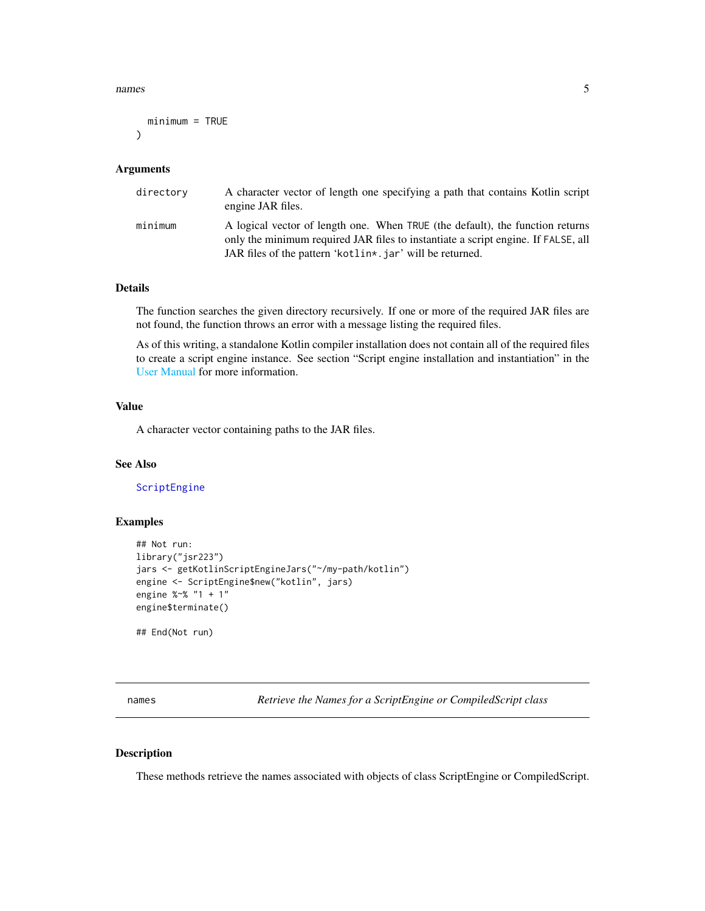#### <span id="page-4-0"></span>names 5

```
minimum = TRUE
)
```
#### Arguments

| directory | A character vector of length one specifying a path that contains Kotlin script<br>engine JAR files.                                                                                                                             |
|-----------|---------------------------------------------------------------------------------------------------------------------------------------------------------------------------------------------------------------------------------|
| minimum   | A logical vector of length one. When TRUE (the default), the function returns<br>only the minimum required JAR files to instantiate a script engine. If FALSE, all<br>JAR files of the pattern 'kotlin*, jar' will be returned. |

#### Details

The function searches the given directory recursively. If one or more of the required JAR files are not found, the function throws an error with a message listing the required files.

As of this writing, a standalone Kotlin compiler installation does not contain all of the required files to create a script engine instance. See section "Script engine installation and instantiation" in the [User Manual](#page-0-0) for more information.

#### Value

A character vector containing paths to the JAR files.

#### See Also

[ScriptEngine](#page-6-1)

#### Examples

```
## Not run:
library("jsr223")
jars <- getKotlinScriptEngineJars("~/my-path/kotlin")
engine <- ScriptEngine$new("kotlin", jars)
engine %~% "1 + 1"
engine$terminate()
```
## End(Not run)

names *Retrieve the Names for a ScriptEngine or CompiledScript class*

#### Description

These methods retrieve the names associated with objects of class ScriptEngine or CompiledScript.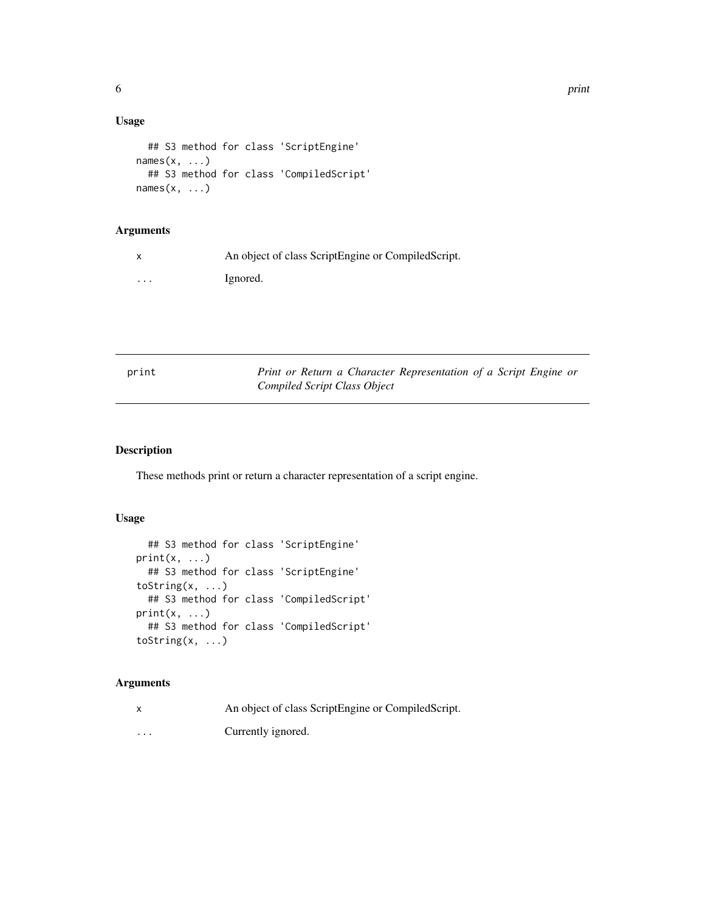<span id="page-5-0"></span>6 print

#### Usage

```
## S3 method for class 'ScriptEngine'
names(x, \ldots)## S3 method for class 'CompiledScript'
names(x, \ldots)
```
#### Arguments

|          | An object of class ScriptEngine or CompiledScript. |
|----------|----------------------------------------------------|
| $\cdots$ | Ignored.                                           |

| print | Print or Return a Character Representation of a Script Engine or |
|-------|------------------------------------------------------------------|
|       | Compiled Script Class Object                                     |

#### Description

These methods print or return a character representation of a script engine.

#### Usage

```
## S3 method for class 'ScriptEngine'
print(x, \ldots)## S3 method for class 'ScriptEngine'
toString(x, ...)
  ## S3 method for class 'CompiledScript'
print(x, \ldots)## S3 method for class 'CompiledScript'
toString(x, ...)
```
#### Arguments

x An object of class ScriptEngine or CompiledScript. ... Currently ignored.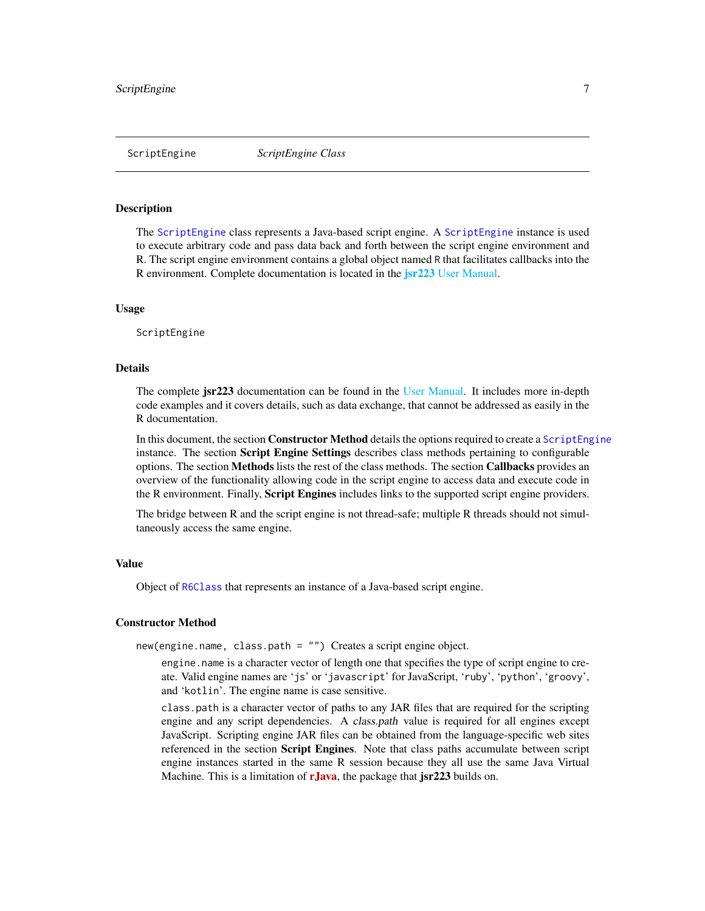#### <span id="page-6-1"></span><span id="page-6-0"></span>Description

The [ScriptEngine](#page-6-1) class represents a Java-based script engine. A [ScriptEngine](#page-6-1) instance is used to execute arbitrary code and pass data back and forth between the script engine environment and R. The script engine environment contains a global object named R that facilitates callbacks into the R environment. Complete documentation is located in the **jsr223** [User Manual.](#page-0-0)

#### Usage

ScriptEngine

#### Details

The complete **jsr223** documentation can be found in the [User Manual.](#page-0-0) It includes more in-depth code examples and it covers details, such as data exchange, that cannot be addressed as easily in the R documentation.

In this document, the section **Constructor Method** details the options required to create a [ScriptEngine](#page-6-1) instance. The section Script Engine Settings describes class methods pertaining to configurable options. The section Methods lists the rest of the class methods. The section Callbacks provides an overview of the functionality allowing code in the script engine to access data and execute code in the R environment. Finally, **Script Engines** includes links to the supported script engine providers.

The bridge between R and the script engine is not thread-safe; multiple R threads should not simultaneously access the same engine.

#### Value

Object of [R6Class](#page-0-0) that represents an instance of a Java-based script engine.

#### Constructor Method

new(engine.name, class.path = "") Creates a script engine object.

engine.name is a character vector of length one that specifies the type of script engine to create. Valid engine names are 'js' or 'javascript' for JavaScript, 'ruby', 'python', 'groovy', and 'kotlin'. The engine name is case sensitive.

class.path is a character vector of paths to any JAR files that are required for the scripting engine and any script dependencies. A class.path value is required for all engines except JavaScript. Scripting engine JAR files can be obtained from the language-specific web sites referenced in the section Script Engines. Note that class paths accumulate between script engine instances started in the same R session because they all use the same Java Virtual Machine. This is a limitation of  $r\text{Java}$ , the package that  $jsr223$  builds on.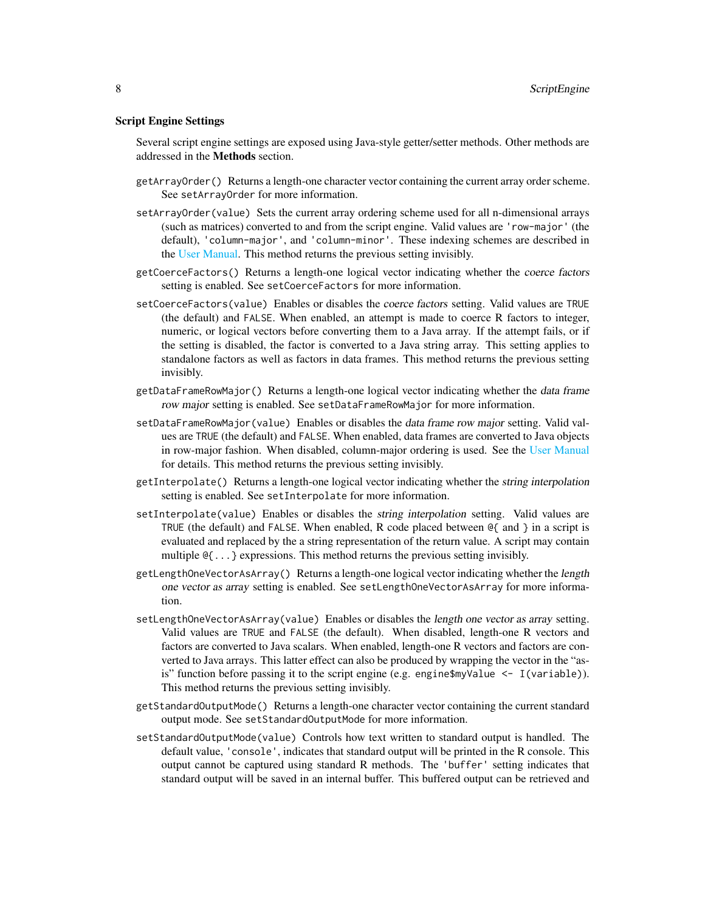#### Script Engine Settings

Several script engine settings are exposed using Java-style getter/setter methods. Other methods are addressed in the Methods section.

- getArrayOrder() Returns a length-one character vector containing the current array order scheme. See setArrayOrder for more information.
- setArrayOrder(value) Sets the current array ordering scheme used for all n-dimensional arrays (such as matrices) converted to and from the script engine. Valid values are 'row-major' (the default), 'column-major', and 'column-minor'. These indexing schemes are described in the [User Manual.](#page-0-0) This method returns the previous setting invisibly.
- getCoerceFactors() Returns a length-one logical vector indicating whether the coerce factors setting is enabled. See setCoerceFactors for more information.
- setCoerceFactors(value) Enables or disables the coerce factors setting. Valid values are TRUE (the default) and FALSE. When enabled, an attempt is made to coerce R factors to integer, numeric, or logical vectors before converting them to a Java array. If the attempt fails, or if the setting is disabled, the factor is converted to a Java string array. This setting applies to standalone factors as well as factors in data frames. This method returns the previous setting invisibly.
- getDataFrameRowMajor() Returns a length-one logical vector indicating whether the data frame row major setting is enabled. See setDataFrameRowMajor for more information.
- setDataFrameRowMajor(value) Enables or disables the data frame row major setting. Valid values are TRUE (the default) and FALSE. When enabled, data frames are converted to Java objects in row-major fashion. When disabled, column-major ordering is used. See the [User Manual](#page-0-0) for details. This method returns the previous setting invisibly.
- getInterpolate() Returns a length-one logical vector indicating whether the string interpolation setting is enabled. See setInterpolate for more information.
- setInterpolate(value) Enables or disables the string interpolation setting. Valid values are TRUE (the default) and FALSE. When enabled, R code placed between  $\mathcal{Q}\{\text{ and }\}$  in a script is evaluated and replaced by the a string representation of the return value. A script may contain multiple @{...} expressions. This method returns the previous setting invisibly.
- getLengthOneVectorAsArray() Returns a length-one logical vector indicating whether the length one vector as array setting is enabled. See setLengthOneVectorAsArray for more information.
- setLengthOneVectorAsArray(value) Enables or disables the length one vector as array setting. Valid values are TRUE and FALSE (the default). When disabled, length-one R vectors and factors are converted to Java scalars. When enabled, length-one R vectors and factors are converted to Java arrays. This latter effect can also be produced by wrapping the vector in the "asis" function before passing it to the script engine (e.g. engine $\gamma$ Value  $\leq$  I(variable)). This method returns the previous setting invisibly.
- getStandardOutputMode() Returns a length-one character vector containing the current standard output mode. See setStandardOutputMode for more information.
- setStandardOutputMode(value) Controls how text written to standard output is handled. The default value, 'console', indicates that standard output will be printed in the R console. This output cannot be captured using standard R methods. The 'buffer' setting indicates that standard output will be saved in an internal buffer. This buffered output can be retrieved and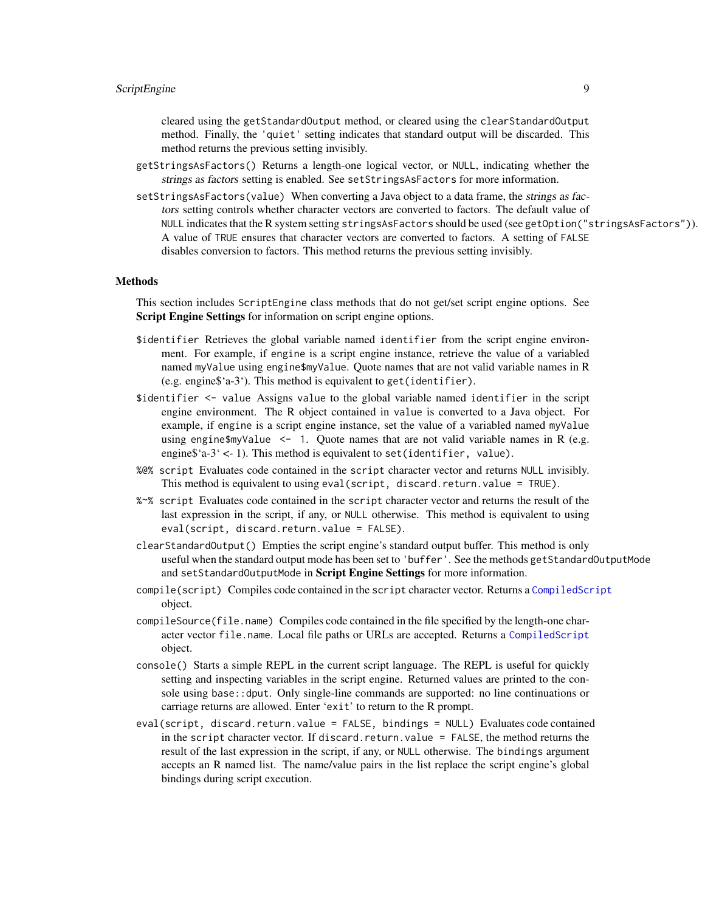<span id="page-8-0"></span>cleared using the getStandardOutput method, or cleared using the clearStandardOutput method. Finally, the 'quiet' setting indicates that standard output will be discarded. This method returns the previous setting invisibly.

- getStringsAsFactors() Returns a length-one logical vector, or NULL, indicating whether the strings as factors setting is enabled. See setStringsAsFactors for more information.
- setStringsAsFactors(value) When converting a Java object to a data frame, the strings as factors setting controls whether character vectors are converted to factors. The default value of NULL indicates that the R system setting stringsAsFactors should be used (see getOption("stringsAsFactors")). A value of TRUE ensures that character vectors are converted to factors. A setting of FALSE disables conversion to factors. This method returns the previous setting invisibly.

#### Methods

This section includes ScriptEngine class methods that do not get/set script engine options. See Script Engine Settings for information on script engine options.

- \$identifier Retrieves the global variable named identifier from the script engine environment. For example, if engine is a script engine instance, retrieve the value of a variabled named myValue using engine\$myValue. Quote names that are not valid variable names in R (e.g. engine\$'a-3'). This method is equivalent to get(identifier).
- \$identifier <- value Assigns value to the global variable named identifier in the script engine environment. The R object contained in value is converted to a Java object. For example, if engine is a script engine instance, set the value of a variabled named myValue using engine  $\gamma$ value  $\leq -1$ . Quote names that are not valid variable names in R (e.g. engine $i=3$ <sup>'</sup> <- 1). This method is equivalent to set(identifier, value).
- %@% script Evaluates code contained in the script character vector and returns NULL invisibly. This method is equivalent to using eval (script, discard.return.value = TRUE).
- %~% script Evaluates code contained in the script character vector and returns the result of the last expression in the script, if any, or NULL otherwise. This method is equivalent to using eval(script, discard.return.value = FALSE).
- clearStandardOutput() Empties the script engine's standard output buffer. This method is only useful when the standard output mode has been set to 'buffer'. See the methods getStandardOutputMode and setStandardOutputMode in Script Engine Settings for more information.
- compile(script) Compiles code contained in the script character vector. Returns a [CompiledScript](#page-2-1) object.
- compileSource(file.name) Compiles code contained in the file specified by the length-one character vector file.name. Local file paths or URLs are accepted. Returns a [CompiledScript](#page-2-1) object.
- console() Starts a simple REPL in the current script language. The REPL is useful for quickly setting and inspecting variables in the script engine. Returned values are printed to the console using base::dput. Only single-line commands are supported: no line continuations or carriage returns are allowed. Enter 'exit' to return to the R prompt.
- eval(script, discard.return.value = FALSE, bindings = NULL) Evaluates code contained in the script character vector. If discard.return.value = FALSE, the method returns the result of the last expression in the script, if any, or NULL otherwise. The bindings argument accepts an R named list. The name/value pairs in the list replace the script engine's global bindings during script execution.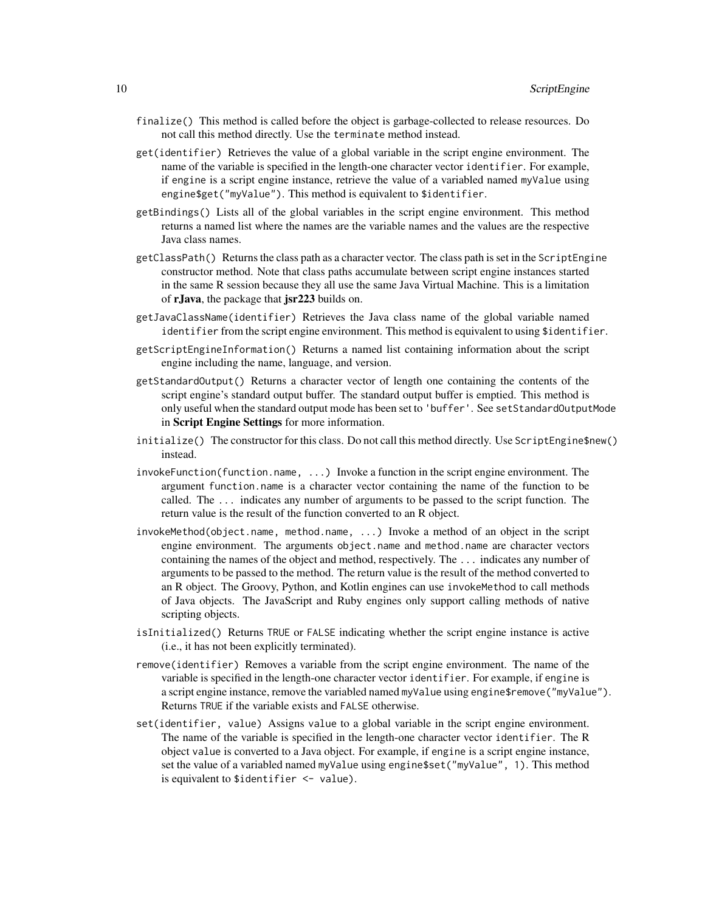- finalize() This method is called before the object is garbage-collected to release resources. Do not call this method directly. Use the terminate method instead.
- get(identifier) Retrieves the value of a global variable in the script engine environment. The name of the variable is specified in the length-one character vector identifier. For example, if engine is a script engine instance, retrieve the value of a variabled named myValue using engine\$get("myValue"). This method is equivalent to \$identifier.
- getBindings() Lists all of the global variables in the script engine environment. This method returns a named list where the names are the variable names and the values are the respective Java class names.
- getClassPath() Returns the class path as a character vector. The class path is set in the ScriptEngine constructor method. Note that class paths accumulate between script engine instances started in the same R session because they all use the same Java Virtual Machine. This is a limitation of rJava, the package that jsr223 builds on.
- getJavaClassName(identifier) Retrieves the Java class name of the global variable named identifier from the script engine environment. This method is equivalent to using \$identifier.
- getScriptEngineInformation() Returns a named list containing information about the script engine including the name, language, and version.
- getStandardOutput() Returns a character vector of length one containing the contents of the script engine's standard output buffer. The standard output buffer is emptied. This method is only useful when the standard output mode has been set to 'buffer'. See setStandardOutputMode in Script Engine Settings for more information.
- initialize() The constructor for this class. Do not call this method directly. Use ScriptEngine\$new() instead.
- invokeFunction(function.name, ...) Invoke a function in the script engine environment. The argument function.name is a character vector containing the name of the function to be called. The ... indicates any number of arguments to be passed to the script function. The return value is the result of the function converted to an R object.
- invokeMethod(object.name, method.name, ...) Invoke a method of an object in the script engine environment. The arguments object.name and method.name are character vectors containing the names of the object and method, respectively. The ... indicates any number of arguments to be passed to the method. The return value is the result of the method converted to an R object. The Groovy, Python, and Kotlin engines can use invokeMethod to call methods of Java objects. The JavaScript and Ruby engines only support calling methods of native scripting objects.
- isInitialized() Returns TRUE or FALSE indicating whether the script engine instance is active (i.e., it has not been explicitly terminated).
- remove(identifier) Removes a variable from the script engine environment. The name of the variable is specified in the length-one character vector identifier. For example, if engine is a script engine instance, remove the variabled named myValue using engine\$remove("myValue"). Returns TRUE if the variable exists and FALSE otherwise.
- set(identifier, value) Assigns value to a global variable in the script engine environment. The name of the variable is specified in the length-one character vector identifier. The R object value is converted to a Java object. For example, if engine is a script engine instance, set the value of a variabled named myValue using engine\$set("myValue", 1). This method is equivalent to \$identifier <- value).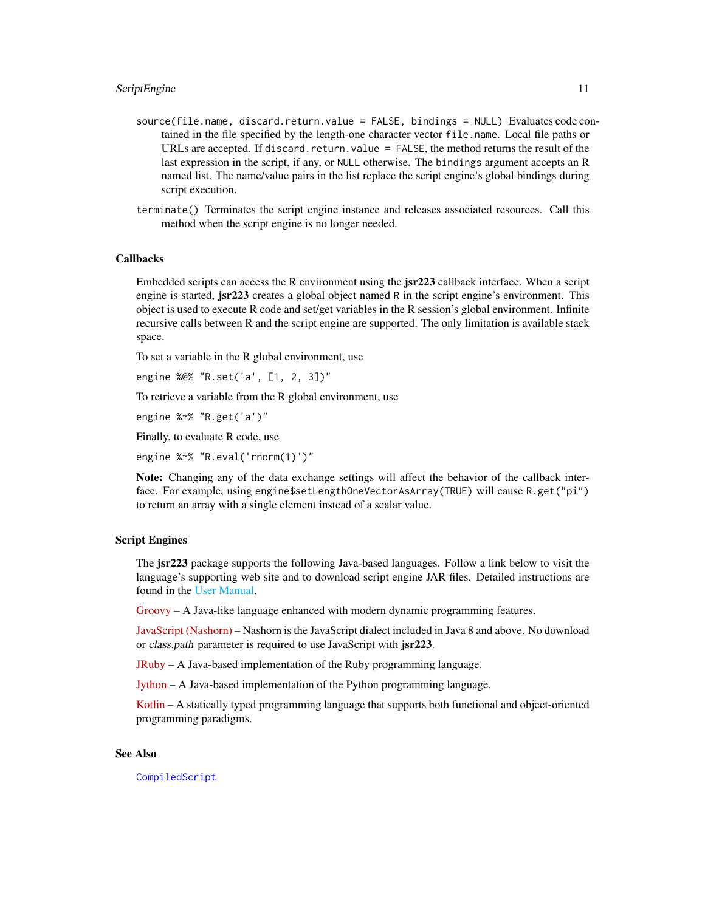- <span id="page-10-0"></span>source(file.name, discard.return.value = FALSE, bindings = NULL) Evaluates code contained in the file specified by the length-one character vector file.name. Local file paths or URLs are accepted. If discard.return.value = FALSE, the method returns the result of the last expression in the script, if any, or NULL otherwise. The bindings argument accepts an R named list. The name/value pairs in the list replace the script engine's global bindings during script execution.
- terminate() Terminates the script engine instance and releases associated resources. Call this method when the script engine is no longer needed.

#### Callbacks

Embedded scripts can access the R environment using the **jsr223** callback interface. When a script engine is started, **jsr223** creates a global object named R in the script engine's environment. This object is used to execute R code and set/get variables in the R session's global environment. Infinite recursive calls between R and the script engine are supported. The only limitation is available stack space.

To set a variable in the R global environment, use

engine %@% "R.set('a', [1, 2, 3])"

To retrieve a variable from the R global environment, use

engine %~% "R.get('a')"

Finally, to evaluate R code, use

engine %~% "R.eval('rnorm(1)')"

Note: Changing any of the data exchange settings will affect the behavior of the callback interface. For example, using engine\$setLengthOneVectorAsArray(TRUE) will cause R.get("pi") to return an array with a single element instead of a scalar value.

#### Script Engines

The **jsr223** package supports the following Java-based languages. Follow a link below to visit the language's supporting web site and to download script engine JAR files. Detailed instructions are found in the [User Manual.](#page-0-0)

[Groovy](http://groovy-lang.org) – A Java-like language enhanced with modern dynamic programming features.

[JavaScript \(Nashorn\)](https://docs.oracle.com/javase/8/docs/technotes/guides/scripting/nashorn/) – Nashorn is the JavaScript dialect included in Java 8 and above. No download or class.path parameter is required to use JavaScript with jsr223.

[JRuby](http://jruby.org) – A Java-based implementation of the Ruby programming language.

[Jython](http://jython.org) – A Java-based implementation of the Python programming language.

[Kotlin](http://kotlinlang.org) – A statically typed programming language that supports both functional and object-oriented programming paradigms.

#### See Also

[CompiledScript](#page-2-1)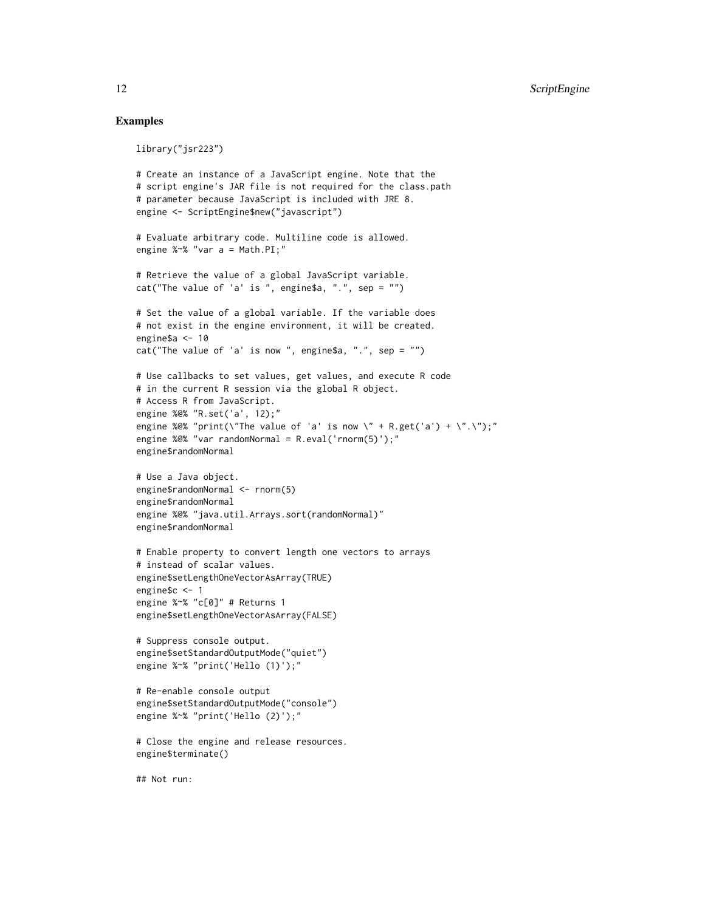#### Examples

```
library("jsr223")
# Create an instance of a JavaScript engine. Note that the
# script engine's JAR file is not required for the class.path
# parameter because JavaScript is included with JRE 8.
engine <- ScriptEngine$new("javascript")
# Evaluate arbitrary code. Multiline code is allowed.
engine %~% "var a = Math.PI;"
# Retrieve the value of a global JavaScript variable.
cat("The value of 'a' is ", engine$a, ".", sep = "")
# Set the value of a global variable. If the variable does
# not exist in the engine environment, it will be created.
engine$a <- 10
cat("The value of 'a' is now ", engine$a, ".", sep = "")
# Use callbacks to set values, get values, and execute R code
# in the current R session via the global R object.
# Access R from JavaScript.
engine %@% "R.set('a', 12);"
engine %@% "print(\"The value of 'a' is now \" + R.get('a') + \".\");"
engine %@% "var randomNormal = R.eval('rnorm(5)');"
engine$randomNormal
# Use a Java object.
engine$randomNormal <- rnorm(5)
engine$randomNormal
engine %@% "java.util.Arrays.sort(randomNormal)"
engine$randomNormal
# Enable property to convert length one vectors to arrays
# instead of scalar values.
engine$setLengthOneVectorAsArray(TRUE)
engine$c <- 1
engine %~% "c[0]" # Returns 1
engine$setLengthOneVectorAsArray(FALSE)
# Suppress console output.
engine$setStandardOutputMode("quiet")
engine %~% "print('Hello (1)');"
# Re-enable console output
engine$setStandardOutputMode("console")
engine %~% "print('Hello (2)');"
# Close the engine and release resources.
engine$terminate()
## Not run:
```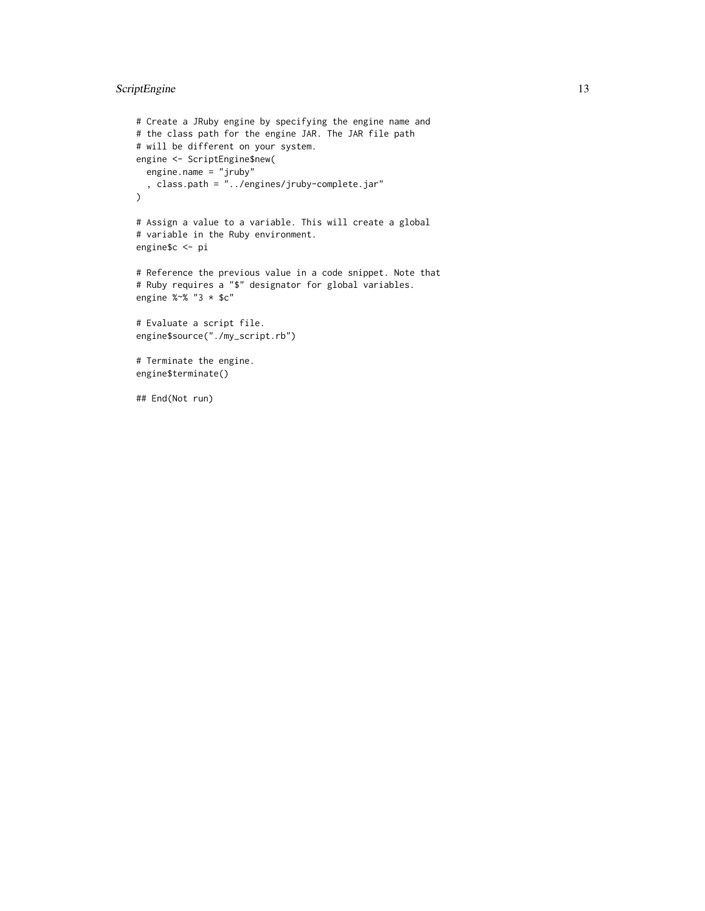#### ScriptEngine 13

```
# Create a JRuby engine by specifying the engine name and
# the class path for the engine JAR. The JAR file path
# will be different on your system.
engine <- ScriptEngine$new(
 engine.name = "jruby"
  , class.path = "../engines/jruby-complete.jar"
\mathcal{L}# Assign a value to a variable. This will create a global
# variable in the Ruby environment.
engine$c <- pi
# Reference the previous value in a code snippet. Note that
# Ruby requires a "$" designator for global variables.
engine %~% "3 * $c"
# Evaluate a script file.
engine$source("./my_script.rb")
# Terminate the engine.
engine$terminate()
```
## End(Not run)